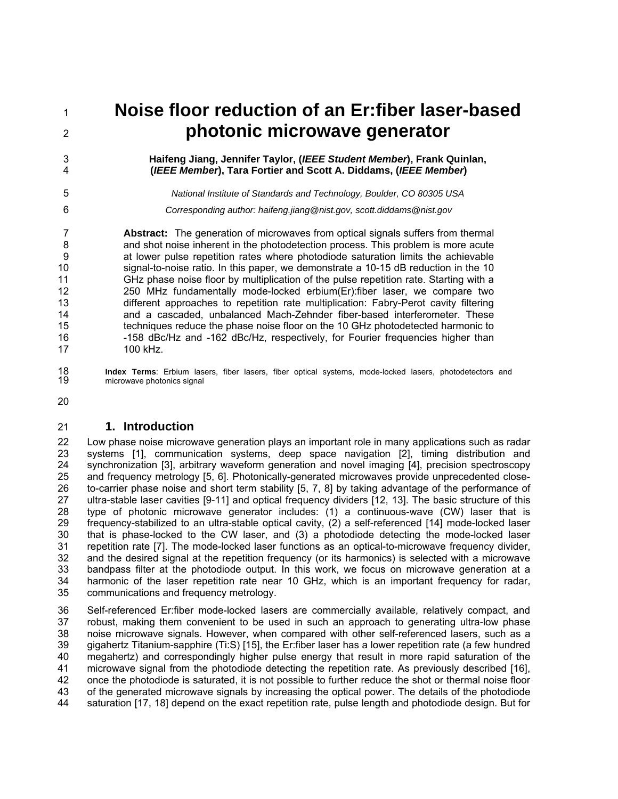1 2

> 3 4

> 5 6

# **Noise floor reduction of an Er:fiber laser-based photonic microwave generator**

### **Haifeng Jiang, Jennifer Taylor, (***IEEE Student Member***), Frank Quinlan, (***IEEE Member***), Tara Fortier and Scott A. Diddams, (***IEEE Member***)**

*National Institute of Standards and Technology, Boulder, CO 80305 USA* 

*Corresponding author: haifeng.jiang@nist.gov, scott.diddams@nist.gov* 

7 8 9 10 11 12 13 14 15 16 17 **Abstract:** The generation of microwaves from optical signals suffers from thermal and shot noise inherent in the photodetection process. This problem is more acute at lower pulse repetition rates where photodiode saturation limits the achievable signal-to-noise ratio. In this paper, we demonstrate a 10-15 dB reduction in the 10 GHz phase noise floor by multiplication of the pulse repetition rate. Starting with a 250 MHz fundamentally mode-locked erbium(Er):fiber laser, we compare two different approaches to repetition rate multiplication: Fabry-Perot cavity filtering and a cascaded, unbalanced Mach-Zehnder fiber-based interferometer. These techniques reduce the phase noise floor on the 10 GHz photodetected harmonic to -158 dBc/Hz and -162 dBc/Hz, respectively, for Fourier frequencies higher than 100 kHz.

18 19 **Index Terms**: Erbium lasers, fiber lasers, fiber optical systems, mode-locked lasers, photodetectors and microwave photonics signal

20

#### 21 **1. Introduction**

22 23 24 25 26 27 28 29 30 31 32 33 34 35 Low phase noise microwave generation plays an important role in many applications such as radar systems [1], communication systems, deep space navigation [2], timing distribution and synchronization [3], arbitrary waveform generation and novel imaging [4], precision spectroscopy and frequency metrology [5, 6]. Photonically-generated microwaves provide unprecedented closeto-carrier phase noise and short term stability [5, 7, 8] by taking advantage of the performance of ultra-stable laser cavities [9-11] and optical frequency dividers [12, 13]. The basic structure of this type of photonic microwave generator includes: (1) a continuous-wave (CW) laser that is frequency-stabilized to an ultra-stable optical cavity, (2) a self-referenced [14] mode-locked laser that is phase-locked to the CW laser, and (3) a photodiode detecting the mode-locked laser repetition rate [7]. The mode-locked laser functions as an optical-to-microwave frequency divider, and the desired signal at the repetition frequency (or its harmonics) is selected with a microwave bandpass filter at the photodiode output. In this work, we focus on microwave generation at a harmonic of the laser repetition rate near 10 GHz, which is an important frequency for radar, communications and frequency metrology.

36 37 38 39 40 41 42 43 44 Self-referenced Er:fiber mode-locked lasers are commercially available, relatively compact, and robust, making them convenient to be used in such an approach to generating ultra-low phase noise microwave signals. However, when compared with other self-referenced lasers, such as a gigahertz Titanium-sapphire (Ti:S) [15], the Er:fiber laser has a lower repetition rate (a few hundred megahertz) and correspondingly higher pulse energy that result in more rapid saturation of the microwave signal from the photodiode detecting the repetition rate. As previously described [16], once the photodiode is saturated, it is not possible to further reduce the shot or thermal noise floor of the generated microwave signals by increasing the optical power. The details of the photodiode saturation [17, 18] depend on the exact repetition rate, pulse length and photodiode design. But for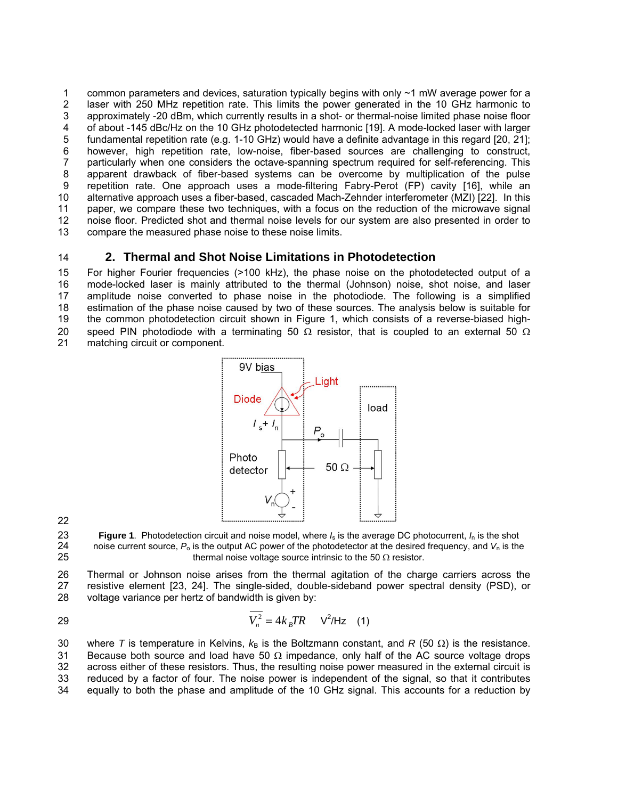1 2 3 4 5 6 7 8 9 10 11 12 13 common parameters and devices, saturation typically begins with only ~1 mW average power for a laser with 250 MHz repetition rate. This limits the power generated in the 10 GHz harmonic to approximately -20 dBm, which currently results in a shot- or thermal-noise limited phase noise floor of about -145 dBc/Hz on the 10 GHz photodetected harmonic [19]. A mode-locked laser with larger fundamental repetition rate (e.g. 1-10 GHz) would have a definite advantage in this regard [20, 21]; however, high repetition rate, low-noise, fiber-based sources are challenging to construct, particularly when one considers the octave-spanning spectrum required for self-referencing. This apparent drawback of fiber-based systems can be overcome by multiplication of the pulse repetition rate. One approach uses a mode-filtering Fabry-Perot (FP) cavity [16], while an alternative approach uses a fiber-based, cascaded Mach-Zehnder interferometer (MZI) [22]. In this paper, we compare these two techniques, with a focus on the reduction of the microwave signal noise floor. Predicted shot and thermal noise levels for our system are also presented in order to compare the measured phase noise to these noise limits.

14

## **2. Thermal and Shot Noise Limitations in Photodetection**

15 16 17 18 19 20 21 For higher Fourier frequencies (>100 kHz), the phase noise on the photodetected output of a mode-locked laser is mainly attributed to the thermal (Johnson) noise, shot noise, and laser amplitude noise converted to phase noise in the photodiode. The following is a simplified estimation of the phase noise caused by two of these sources. The analysis below is suitable for the common photodetection circuit shown in Figure 1, which consists of a reverse-biased highspeed PIN photodiode with a terminating 50  $\Omega$  resistor, that is coupled to an external 50  $\Omega$ matching circuit or component.



22

23 24 25 **Figure 1**. Photodetection circuit and noise model, where *I*s is the average DC photocurrent, *I*n is the shot noise current source,  $P_0$  is the output AC power of the photodetector at the desired frequency, and  $V_n$  is the thermal noise voltage source intrinsic to the 50  $\Omega$  resistor.

26 27 28 Thermal or Johnson noise arises from the thermal agitation of the charge carriers across the resistive element [23, 24]. The single-sided, double-sideband power spectral density (PSD), or voltage variance per hertz of bandwidth is given by:

$$
\overline{V_n^2} = 4k_BTR \qquad \text{V}^2/\text{Hz} \tag{1}
$$

30 31 32 33 34 where *T* is temperature in Kelvins,  $k_B$  is the Boltzmann constant, and *R* (50  $\Omega$ ) is the resistance. Because both source and load have 50  $\Omega$  impedance, only half of the AC source voltage drops across either of these resistors. Thus, the resulting noise power measured in the external circuit is reduced by a factor of four. The noise power is independent of the signal, so that it contributes equally to both the phase and amplitude of the 10 GHz signal. This accounts for a reduction by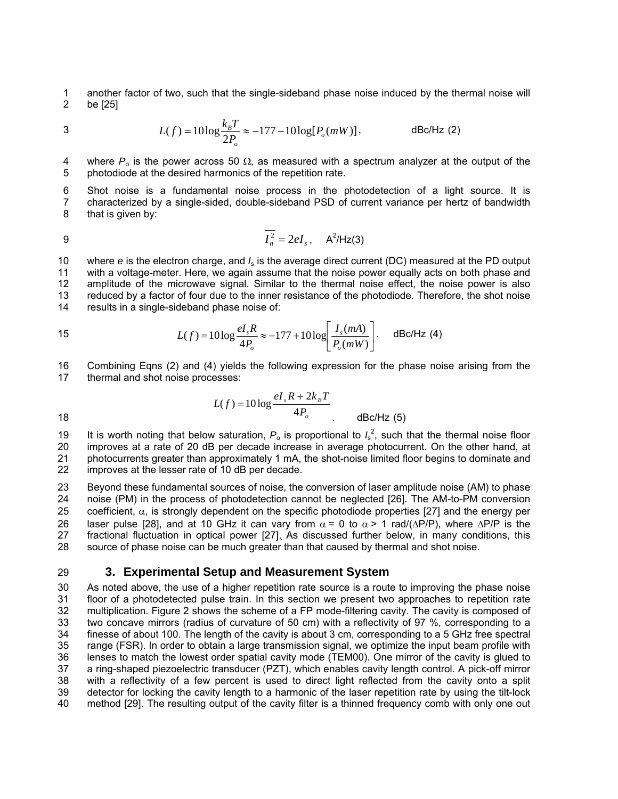1 2 another factor of two, such that the single-sideband phase noise induced by the thermal noise will be [25]

3 
$$
L(f) = 10\log \frac{k_B T}{2P_o} \approx -177 - 10\log[P_o(mW)],
$$
 dBc/Hz (2)

4 5 where  $P_0$  is the power across 50  $\Omega$ , as measured with a spectrum analyzer at the output of the photodiode at the desired harmonics of the repetition rate.

6 7 8 Shot noise is a fundamental noise process in the photodetection of a light source. It is characterized by a single-sided, double-sideband PSD of current variance per hertz of bandwidth that is given by:

$$
\overline{I_n^2} = 2eI_s, \quad \mathsf{A}^2/\mathsf{Hz}(3)
$$

10 11 12 13 14 where *e* is the electron charge, and  $I_s$  is the average direct current (DC) measured at the PD output with a voltage-meter. Here, we again assume that the noise power equally acts on both phase and amplitude of the microwave signal. Similar to the thermal noise effect, the noise power is also reduced by a factor of four due to the inner resistance of the photodiode. Therefore, the shot noise results in a single-sideband phase noise of:

15 
$$
L(f) = 10 \log \frac{el_s R}{4P_o} \approx -177 + 10 \log \left[ \frac{I_s(mA)}{P_o(mW)} \right]
$$
.  $\text{dBc/Hz (4)}$ 

16 17 Combining Eqns (2) and (4) yields the following expression for the phase noise arising from the thermal and shot noise processes:

18 
$$
L(f) = 10 \log \frac{eI_s R + 2k_B T}{4P_o}
$$
   
dBc/Hz (5)

19 20 21 22 It is worth noting that below saturation,  $P_0$  is proportional to  $I_s^2$ , such that the thermal noise floor improves at a rate of 20 dB per decade increase in average photocurrent. On the other hand, at photocurrents greater than approximately 1 mA, the shot-noise limited floor begins to dominate and improves at the lesser rate of 10 dB per decade.

23 24 25 26 27 28 Beyond these fundamental sources of noise, the conversion of laser amplitude noise (AM) to phase noise (PM) in the process of photodetection cannot be neglected [26]. The AM-to-PM conversion coefficient,  $\alpha$ , is strongly dependent on the specific photodiode properties [27] and the energy per laser pulse [28], and at 10 GHz it can vary from  $\alpha = 0$  to  $\alpha > 1$  rad/( $\Delta P/P$ ), where  $\Delta P/P$  is the fractional fluctuation in optical power [27]. As discussed further below, in many conditions, this source of phase noise can be much greater than that caused by thermal and shot noise.

#### 29 **3. Experimental Setup and Measurement System**

30 31 32 33 34 35 36 37 38 39 40 As noted above, the use of a higher repetition rate source is a route to improving the phase noise floor of a photodetected pulse train. In this section we present two approaches to repetition rate multiplication. Figure 2 shows the scheme of a FP mode-filtering cavity. The cavity is composed of two concave mirrors (radius of curvature of 50 cm) with a reflectivity of 97 %, corresponding to a finesse of about 100. The length of the cavity is about 3 cm, corresponding to a 5 GHz free spectral range (FSR). In order to obtain a large transmission signal, we optimize the input beam profile with lenses to match the lowest order spatial cavity mode (TEM00). One mirror of the cavity is glued to a ring-shaped piezoelectric transducer (PZT), which enables cavity length control. A pick-off mirror with a reflectivity of a few percent is used to direct light reflected from the cavity onto a split detector for locking the cavity length to a harmonic of the laser repetition rate by using the tilt-lock method [29]. The resulting output of the cavity filter is a thinned frequency comb with only one out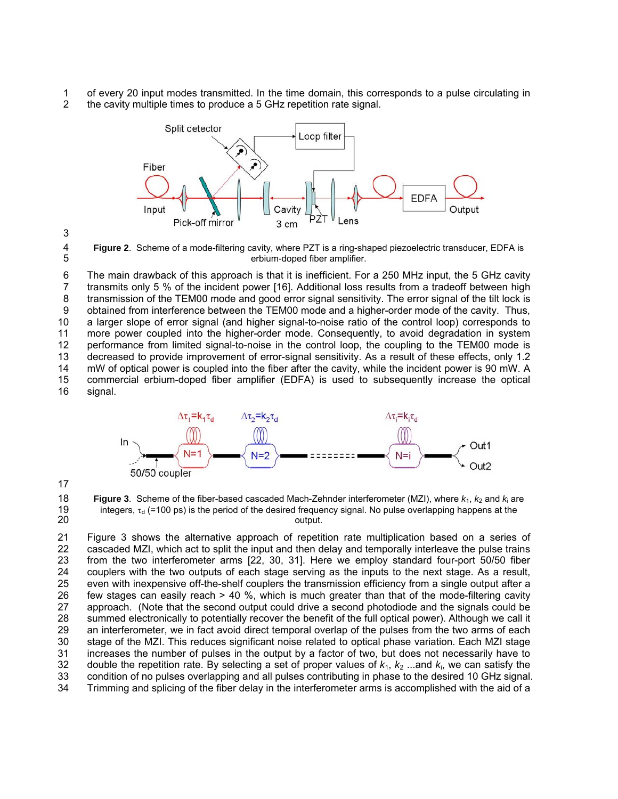1 2 of every 20 input modes transmitted. In the time domain, this corresponds to a pulse circulating in the cavity multiple times to produce a 5 GHz repetition rate signal.





4 5

**Figure 2**. Scheme of a mode-filtering cavity, where PZT is a ring-shaped piezoelectric transducer, EDFA is erbium-doped fiber amplifier.

6 7 8 9 10 11 12 13 14 15 16 The main drawback of this approach is that it is inefficient. For a 250 MHz input, the 5 GHz cavity transmits only 5 % of the incident power [16]. Additional loss results from a tradeoff between high transmission of the TEM00 mode and good error signal sensitivity. The error signal of the tilt lock is obtained from interference between the TEM00 mode and a higher-order mode of the cavity. Thus, a larger slope of error signal (and higher signal-to-noise ratio of the control loop) corresponds to more power coupled into the higher-order mode. Consequently, to avoid degradation in system performance from limited signal-to-noise in the control loop, the coupling to the TEM00 mode is decreased to provide improvement of error-signal sensitivity. As a result of these effects, only 1.2 mW of optical power is coupled into the fiber after the cavity, while the incident power is 90 mW. A commercial erbium-doped fiber amplifier (EDFA) is used to subsequently increase the optical signal.



17

18 19 20 **Figure 3**. Scheme of the fiber-based cascaded Mach-Zehnder interferometer (MZI), where  $k_1, k_2$  and  $k_i$  are integers,  $\tau_d$  (=100 ps) is the period of the desired frequency signal. No pulse overlapping happens at the output.

21 22 23 24 25 26 27 28 29 30 31 32 33 34 Figure 3 shows the alternative approach of repetition rate multiplication based on a series of cascaded MZI, which act to split the input and then delay and temporally interleave the pulse trains from the two interferometer arms [22, 30, 31]. Here we employ standard four-port 50/50 fiber couplers with the two outputs of each stage serving as the inputs to the next stage. As a result, even with inexpensive off-the-shelf couplers the transmission efficiency from a single output after a few stages can easily reach > 40 %, which is much greater than that of the mode-filtering cavity approach. (Note that the second output could drive a second photodiode and the signals could be summed electronically to potentially recover the benefit of the full optical power). Although we call it an interferometer, we in fact avoid direct temporal overlap of the pulses from the two arms of each stage of the MZI. This reduces significant noise related to optical phase variation. Each MZI stage increases the number of pulses in the output by a factor of two, but does not necessarily have to double the repetition rate. By selecting a set of proper values of  $k_1$ ,  $k_2$  ...and  $k_i$ , we can satisfy the condition of no pulses overlapping and all pulses contributing in phase to the desired 10 GHz signal. Trimming and splicing of the fiber delay in the interferometer arms is accomplished with the aid of a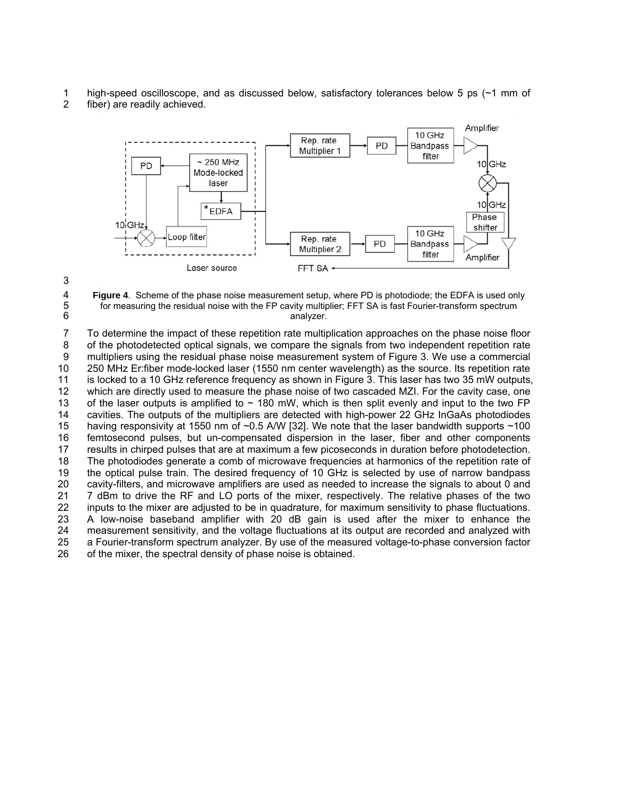- 1 high-speed oscilloscope, and as discussed below, satisfactory tolerances below 5 ps (~1 mm of
- 2 fiber) are readily achieved.



analyzer.



5 6

**Figure 4**. Scheme of the phase noise measurement setup, where PD is photodiode; the EDFA is used only for measuring the residual noise with the FP cavity multiplier; FFT SA is fast Fourier-transform spectrum

7 8 9 10 11 12 13 14 15 16 17 18 19 20 21 22 23 24 25 26 To determine the impact of these repetition rate multiplication approaches on the phase noise floor of the photodetected optical signals, we compare the signals from two independent repetition rate multipliers using the residual phase noise measurement system of Figure 3. We use a commercial 250 MHz Er:fiber mode-locked laser (1550 nm center wavelength) as the source. Its repetition rate is locked to a 10 GHz reference frequency as shown in Figure 3. This laser has two 35 mW outputs, which are directly used to measure the phase noise of two cascaded MZI. For the cavity case, one of the laser outputs is amplified to  $\sim$  180 mW, which is then split evenly and input to the two FP cavities. The outputs of the multipliers are detected with high-power 22 GHz InGaAs photodiodes having responsivity at 1550 nm of ~0.5 A/W [32]. We note that the laser bandwidth supports ~100 femtosecond pulses, but un-compensated dispersion in the laser, fiber and other components results in chirped pulses that are at maximum a few picoseconds in duration before photodetection. The photodiodes generate a comb of microwave frequencies at harmonics of the repetition rate of the optical pulse train. The desired frequency of 10 GHz is selected by use of narrow bandpass cavity-filters, and microwave amplifiers are used as needed to increase the signals to about 0 and 7 dBm to drive the RF and LO ports of the mixer, respectively. The relative phases of the two inputs to the mixer are adjusted to be in quadrature, for maximum sensitivity to phase fluctuations. A low-noise baseband amplifier with 20 dB gain is used after the mixer to enhance the measurement sensitivity, and the voltage fluctuations at its output are recorded and analyzed with a Fourier-transform spectrum analyzer. By use of the measured voltage-to-phase conversion factor of the mixer, the spectral density of phase noise is obtained.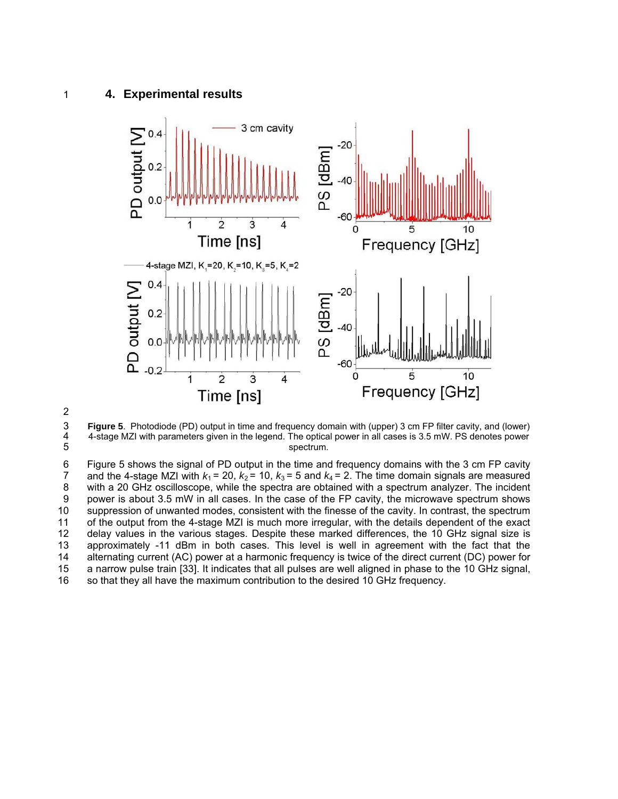### 1 **4. Experimental results**



2

3 4 5 **Figure 5**. Photodiode (PD) output in time and frequency domain with (upper) 3 cm FP filter cavity, and (lower) 4-stage MZI with parameters given in the legend. The optical power in all cases is 3.5 mW. PS denotes power spectrum.

6 7 8 9 10 11 12 13 14 15 16 Figure 5 shows the signal of PD output in the time and frequency domains with the 3 cm FP cavity and the 4-stage MZI with  $k_1 = 20$ ,  $k_2 = 10$ ,  $k_3 = 5$  and  $k_4 = 2$ . The time domain signals are measured with a 20 GHz oscilloscope, while the spectra are obtained with a spectrum analyzer. The incident power is about 3.5 mW in all cases. In the case of the FP cavity, the microwave spectrum shows suppression of unwanted modes, consistent with the finesse of the cavity. In contrast, the spectrum of the output from the 4-stage MZI is much more irregular, with the details dependent of the exact delay values in the various stages. Despite these marked differences, the 10 GHz signal size is approximately -11 dBm in both cases. This level is well in agreement with the fact that the alternating current (AC) power at a harmonic frequency is twice of the direct current (DC) power for a narrow pulse train [33]. It indicates that all pulses are well aligned in phase to the 10 GHz signal, so that they all have the maximum contribution to the desired 10 GHz frequency.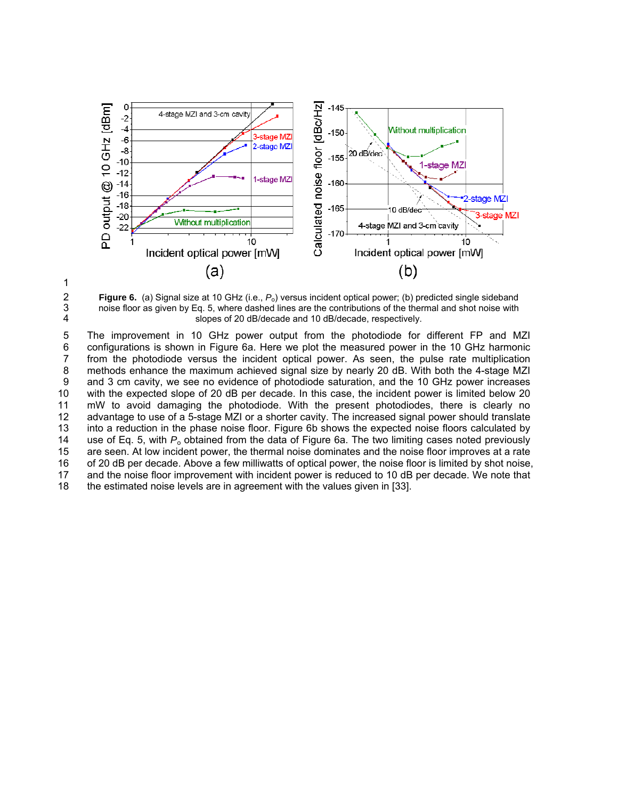



3 4

**Figure 6.** (a) Signal size at 10 GHz (i.e., *P*o) versus incident optical power; (b) predicted single sideband noise floor as given by Eq. 5, where dashed lines are the contributions of the thermal and shot noise with slopes of 20 dB/decade and 10 dB/decade, respectively.

5 6 7 8 9 10 11 12 13 14 15 16 17 18 The improvement in 10 GHz power output from the photodiode for different FP and MZI configurations is shown in Figure 6a. Here we plot the measured power in the 10 GHz harmonic from the photodiode versus the incident optical power. As seen, the pulse rate multiplication methods enhance the maximum achieved signal size by nearly 20 dB. With both the 4-stage MZI and 3 cm cavity, we see no evidence of photodiode saturation, and the 10 GHz power increases with the expected slope of 20 dB per decade. In this case, the incident power is limited below 20 mW to avoid damaging the photodiode. With the present photodiodes, there is clearly no advantage to use of a 5-stage MZI or a shorter cavity. The increased signal power should translate into a reduction in the phase noise floor. Figure 6b shows the expected noise floors calculated by use of Eq. 5, with  $P_0$  obtained from the data of Figure 6a. The two limiting cases noted previously are seen. At low incident power, the thermal noise dominates and the noise floor improves at a rate of 20 dB per decade. Above a few milliwatts of optical power, the noise floor is limited by shot noise, and the noise floor improvement with incident power is reduced to 10 dB per decade. We note that the estimated noise levels are in agreement with the values given in [33].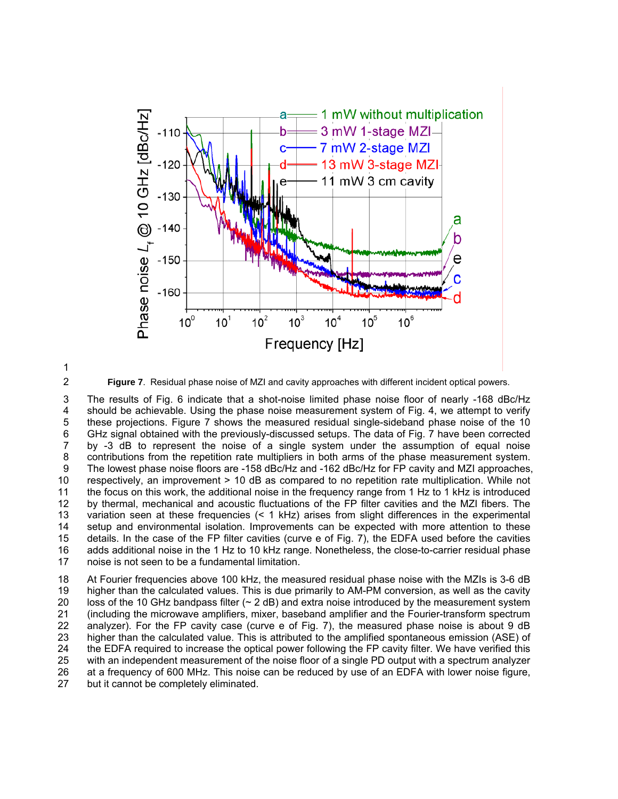



**Figure 7**. Residual phase noise of MZI and cavity approaches with different incident optical powers.

3 4 5 6 7 8 9 10 11 12 13 14 15 16 17 The results of Fig. 6 indicate that a shot-noise limited phase noise floor of nearly -168 dBc/Hz should be achievable. Using the phase noise measurement system of Fig. 4, we attempt to verify these projections. Figure 7 shows the measured residual single-sideband phase noise of the 10 GHz signal obtained with the previously-discussed setups. The data of Fig. 7 have been corrected by -3 dB to represent the noise of a single system under the assumption of equal noise contributions from the repetition rate multipliers in both arms of the phase measurement system. The lowest phase noise floors are -158 dBc/Hz and -162 dBc/Hz for FP cavity and MZI approaches, respectively, an improvement > 10 dB as compared to no repetition rate multiplication. While not the focus on this work, the additional noise in the frequency range from 1 Hz to 1 kHz is introduced by thermal, mechanical and acoustic fluctuations of the FP filter cavities and the MZI fibers. The variation seen at these frequencies (< 1 kHz) arises from slight differences in the experimental setup and environmental isolation. Improvements can be expected with more attention to these details. In the case of the FP filter cavities (curve e of Fig. 7), the EDFA used before the cavities adds additional noise in the 1 Hz to 10 kHz range. Nonetheless, the close-to-carrier residual phase noise is not seen to be a fundamental limitation.

18 19 20 21 22 23 24 25 26 27 At Fourier frequencies above 100 kHz, the measured residual phase noise with the MZIs is 3-6 dB higher than the calculated values. This is due primarily to AM-PM conversion, as well as the cavity loss of the 10 GHz bandpass filter ( $\sim$  2 dB) and extra noise introduced by the measurement system (including the microwave amplifiers, mixer, baseband amplifier and the Fourier-transform spectrum analyzer). For the FP cavity case (curve e of Fig. 7), the measured phase noise is about 9 dB higher than the calculated value. This is attributed to the amplified spontaneous emission (ASE) of the EDFA required to increase the optical power following the FP cavity filter. We have verified this with an independent measurement of the noise floor of a single PD output with a spectrum analyzer at a frequency of 600 MHz. This noise can be reduced by use of an EDFA with lower noise figure, but it cannot be completely eliminated.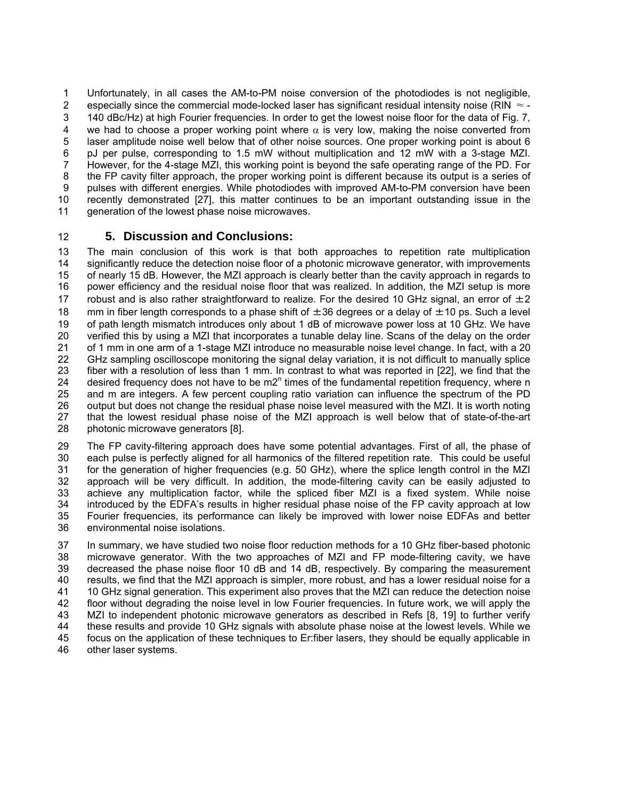Unfortunately, in all cases the AM-to-PM noise conversion of the photodiodes is not negligible, especially since the commercial mode-locked laser has significant residual intensity noise (RIN  $\approx$  -140 dBc/Hz) at high Fourier frequencies. In order to get the lowest noise floor for the data of Fig. 7, we had to choose a proper working point where  $\alpha$  is very low, making the noise converted from laser amplitude noise well below that of other noise sources. One proper working point is about 6 pJ per pulse, corresponding to 1.5 mW without multiplication and 12 mW with a 3-stage MZI. However, for the 4-stage MZI, this working point is beyond the safe operating range of the PD. For the FP cavity filter approach, the proper working point is different because its output is a series of pulses with different energies. While photodiodes with improved AM-to-PM conversion have been recently demonstrated [27], this matter continues to be an important outstanding issue in the generation of the lowest phase noise microwaves. 1 2 3 4 5 6 7 8 9 10 11

#### 12 **5. Discussion and Conclusions:**

13 14 15 16 17 18 19 20 21 22 23 24 25 26 27 28 The main conclusion of this work is that both approaches to repetition rate multiplication significantly reduce the detection noise floor of a photonic microwave generator, with improvements of nearly 15 dB. However, the MZI approach is clearly better than the cavity approach in regards to power efficiency and the residual noise floor that was realized. In addition, the MZI setup is more robust and is also rather straightforward to realize. For the desired 10 GHz signal, an error of  $\pm 2$ mm in fiber length corresponds to a phase shift of  $\pm 36$  degrees or a delay of  $\pm 10$  ps. Such a level of path length mismatch introduces only about 1 dB of microwave power loss at 10 GHz. We have verified this by using a MZI that incorporates a tunable delay line. Scans of the delay on the order of 1 mm in one arm of a 1-stage MZI introduce no measurable noise level change. In fact, with a 20 GHz sampling oscilloscope monitoring the signal delay variation, it is not difficult to manually splice fiber with a resolution of less than 1 mm. In contrast to what was reported in [22], we find that the desired frequency does not have to be m2 $<sup>n</sup>$  times of the fundamental repetition frequency, where n</sup> and m are integers. A few percent coupling ratio variation can influence the spectrum of the PD output but does not change the residual phase noise level measured with the MZI. It is worth noting that the lowest residual phase noise of the MZI approach is well below that of state-of-the-art photonic microwave generators [8].

29 30 31 32 33 34 35 36 The FP cavity-filtering approach does have some potential advantages. First of all, the phase of each pulse is perfectly aligned for all harmonics of the filtered repetition rate. This could be useful for the generation of higher frequencies (e.g. 50 GHz), where the splice length control in the MZI approach will be very difficult. In addition, the mode-filtering cavity can be easily adjusted to achieve any multiplication factor, while the spliced fiber MZI is a fixed system. While noise introduced by the EDFA's results in higher residual phase noise of the FP cavity approach at low Fourier frequencies, its performance can likely be improved with lower noise EDFAs and better environmental noise isolations.

37 38 39 40 41 42 43 44 45 46 In summary, we have studied two noise floor reduction methods for a 10 GHz fiber-based photonic microwave generator. With the two approaches of MZI and FP mode-filtering cavity, we have decreased the phase noise floor 10 dB and 14 dB, respectively. By comparing the measurement results, we find that the MZI approach is simpler, more robust, and has a lower residual noise for a 10 GHz signal generation. This experiment also proves that the MZI can reduce the detection noise floor without degrading the noise level in low Fourier frequencies. In future work, we will apply the MZI to independent photonic microwave generators as described in Refs [8, 19] to further verify these results and provide 10 GHz signals with absolute phase noise at the lowest levels. While we focus on the application of these techniques to Er:fiber lasers, they should be equally applicable in other laser systems.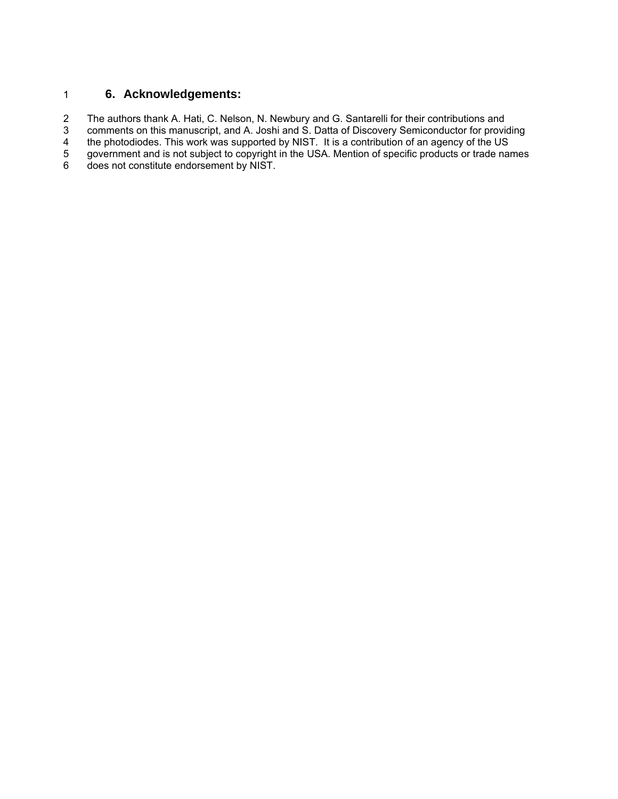# 1 **6. Acknowledgements:**

2 The authors thank A. Hati, C. Nelson, N. Newbury and G. Santarelli for their contributions and

3 comments on this manuscript, and A. Joshi and S. Datta of Discovery Semiconductor for providing

4 the photodiodes. This work was supported by NIST. It is a contribution of an agency of the US

5 government and is not subject to copyright in the USA. Mention of specific products or trade names

6 does not constitute endorsement by NIST.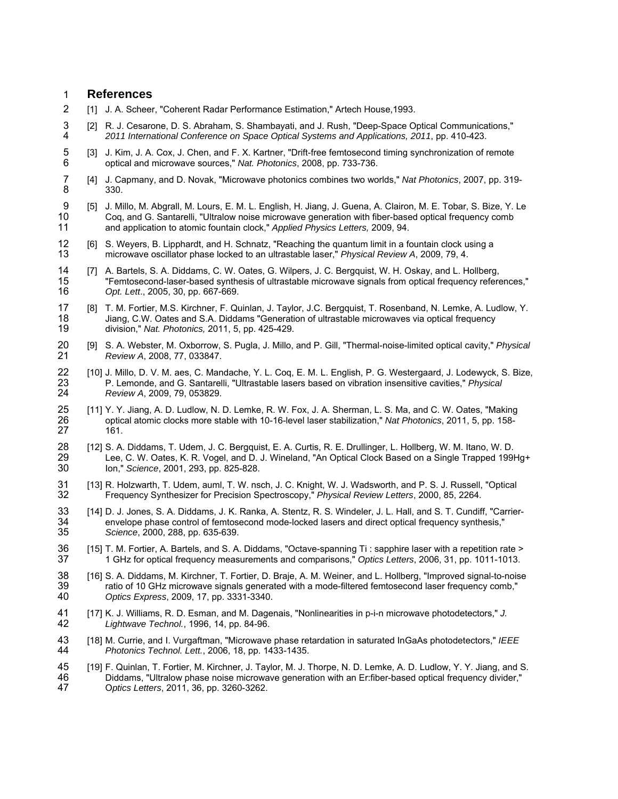### 1 **References**

- 2 [1] J. A. Scheer, "Coherent Radar Performance Estimation," Artech House,1993.
- 3 4 [2] R. J. Cesarone, D. S. Abraham, S. Shambayati, and J. Rush, "Deep-Space Optical Communications." *2011 International Conference on Space Optical Systems and Applications, 2011*, pp. 410-423.
- 5 6 [3] J. Kim, J. A. Cox, J. Chen, and F. X. Kartner, "Drift-free femtosecond timing synchronization of remote optical and microwave sources," *Nat. Photonics*, 2008, pp. 733-736.
- 7 8 [4] J. Capmany, and D. Novak, "Microwave photonics combines two worlds," *Nat Photonics*, 2007, pp. 319- 330.
- 9 10 11 [5] J. Millo, M. Abgrall, M. Lours, E. M. L. English, H. Jiang, J. Guena, A. Clairon, M. E. Tobar, S. Bize, Y. Le Coq, and G. Santarelli, "Ultralow noise microwave generation with fiber-based optical frequency comb and application to atomic fountain clock," *Applied Physics Letters,* 2009, 94.
- 12 13 [6] S. Weyers, B. Lipphardt, and H. Schnatz, "Reaching the quantum limit in a fountain clock using a microwave oscillator phase locked to an ultrastable laser," *Physical Review A*, 2009, 79, 4.
- 14 15 16 [7] A. Bartels, S. A. Diddams, C. W. Oates, G. Wilpers, J. C. Bergquist, W. H. Oskay, and L. Hollberg, "Femtosecond-laser-based synthesis of ultrastable microwave signals from optical frequency references," *Opt. Lett*., 2005, 30, pp. 667-669.
- 17 18 19 [8] T. M. Fortier, M.S. Kirchner, F. Quinlan, J. Taylor, J.C. Bergquist, T. Rosenband, N. Lemke, A. Ludlow, Y. Jiang, C.W. Oates and S.A. Diddams "Generation of ultrastable microwaves via optical frequency division," *Nat. Photonics,* 2011, 5, pp. 425-429.
- 20 21 [9] S. A. Webster, M. Oxborrow, S. Pugla, J. Millo, and P. Gill, "Thermal-noise-limited optical cavity," *Physical Review A*, 2008, 77, 033847.
- 22 23 24 [10] J. Millo, D. V. M. aes, C. Mandache, Y. L. Coq, E. M. L. English, P. G. Westergaard, J. Lodewyck, S. Bize, P. Lemonde, and G. Santarelli, "Ultrastable lasers based on vibration insensitive cavities," *Physical Review A*, 2009, 79, 053829.
- 25 26 27 [11] Y. Y. Jiang, A. D. Ludlow, N. D. Lemke, R. W. Fox, J. A. Sherman, L. S. Ma, and C. W. Oates, "Making optical atomic clocks more stable with 10-16-level laser stabilization," *Nat Photonics*, 2011, 5, pp. 158- 161.
- 28  $\frac{1}{29}$ 30 [12] S. A. Diddams, T. Udem, J. C. Bergquist, E. A. Curtis, R. E. Drullinger, L. Hollberg, W. M. Itano, W. D. Lee, C. W. Oates, K. R. Vogel, and D. J. Wineland, "An Optical Clock Based on a Single Trapped 199Hg+ Ion," *Science*, 2001, 293, pp. 825-828.
- 31 32 [13] R. Holzwarth, T. Udem, auml, T. W. nsch, J. C. Knight, W. J. Wadsworth, and P. S. J. Russell, "Optical Frequency Synthesizer for Precision Spectroscopy," *Physical Review Letters*, 2000, 85, 2264.
- 33 34 35 [14] D. J. Jones, S. A. Diddams, J. K. Ranka, A. Stentz, R. S. Windeler, J. L. Hall, and S. T. Cundiff, "Carrierenvelope phase control of femtosecond mode-locked lasers and direct optical frequency synthesis," *Science*, 2000, 288, pp. 635-639.
- 36 37 [15] T. M. Fortier, A. Bartels, and S. A. Diddams, "Octave-spanning Ti : sapphire laser with a repetition rate > 1 GHz for optical frequency measurements and comparisons," *Optics Letters*, 2006, 31, pp. 1011-1013.
- 38 39 40 [16] S. A. Diddams, M. Kirchner, T. Fortier, D. Braje, A. M. Weiner, and L. Hollberg, "Improved signal-to-noise ratio of 10 GHz microwave signals generated with a mode-filtered femtosecond laser frequency comb," *Optics Express*, 2009, 17, pp. 3331-3340.
- 41 42 [17] K. J. Williams, R. D. Esman, and M. Dagenais, "Nonlinearities in p-i-n microwave photodetectors," *J. Lightwave Technol.*, 1996, 14, pp. 84-96.
- 43 44 [18] M. Currie, and I. Vurgaftman, "Microwave phase retardation in saturated InGaAs photodetectors," *IEEE Photonics Technol. Lett.*, 2006, 18, pp. 1433-1435.
- 45 46 47 [19] F. Quinlan, T. Fortier, M. Kirchner, J. Taylor, M. J. Thorpe, N. D. Lemke, A. D. Ludlow, Y. Y. Jiang, and S. Diddams, "Ultralow phase noise microwave generation with an Er:fiber-based optical frequency divider," O*ptics Letters*, 2011, 36, pp. 3260-3262.